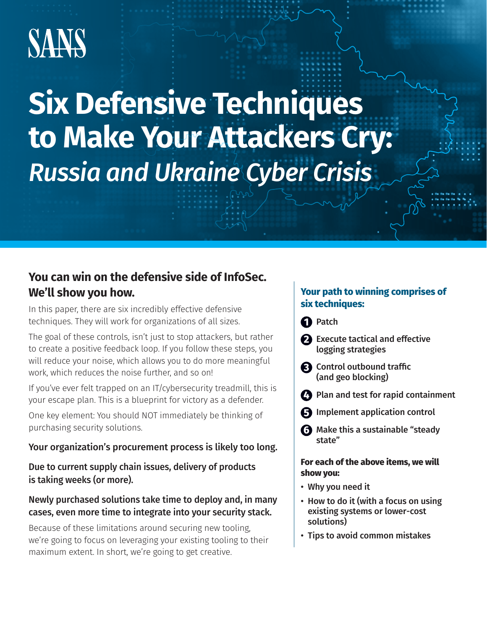# **SANS**

## **Six Defensive Techniques to Make Your Attackers Cry:**  *Russia and Ukraine Cyber Crisis*

## **You can win on the defensive side of InfoSec. We'll show you how.**

In this paper, there are six incredibly effective defensive techniques. They will work for organizations of all sizes.

The goal of these controls, isn't just to stop attackers, but rather to create a positive feedback loop. If you follow these steps, you will reduce your noise, which allows you to do more meaningful work, which reduces the noise further, and so on!

If you've ever felt trapped on an IT/cybersecurity treadmill, this is your escape plan. This is a blueprint for victory as a defender.

One key element: You should NOT immediately be thinking of purchasing security solutions.

#### Your organization's procurement process is likely too long.

Due to current supply chain issues, delivery of products is taking weeks (or more).

#### Newly purchased solutions take time to deploy and, in many cases, even more time to integrate into your security stack.

Because of these limitations around securing new tooling, we're going to focus on leveraging your existing tooling to their maximum extent. In short, we're going to get creative.

#### **Your path to winning comprises of six techniques:**

**1** Patch

- **2** Execute tactical and effective logging strategies
- **3** Control outbound traffic (and geo blocking)
- **4** Plan and test for rapid containment
- **5** Implement application control
- **6** Make this a sustainable "steady state"

#### **For each of the above items, we will show you:**

- Why you need it
- How to do it (with a focus on using existing systems or lower-cost solutions)
- Tips to avoid common mistakes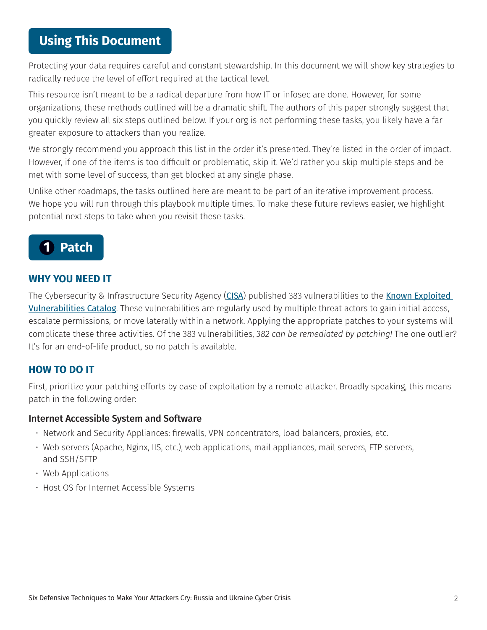## **Using This Document**

Protecting your data requires careful and constant stewardship. In this document we will show key strategies to radically reduce the level of effort required at the tactical level.

This resource isn't meant to be a radical departure from how IT or infosec are done. However, for some organizations, these methods outlined will be a dramatic shift. The authors of this paper strongly suggest that you quickly review all six steps outlined below. If your org is not performing these tasks, you likely have a far greater exposure to attackers than you realize.

We strongly recommend you approach this list in the order it's presented. They're listed in the order of impact. However, if one of the items is too difficult or problematic, skip it. We'd rather you skip multiple steps and be met with some level of success, than get blocked at any single phase.

Unlike other roadmaps, the tasks outlined here are meant to be part of an iterative improvement process. We hope you will run through this playbook multiple times. To make these future reviews easier, we highlight potential next steps to take when you revisit these tasks.



#### **WHY YOU NEED IT**

The Cybersecurity & Infrastructure Security Agency ([CISA](https://www.cisa.gov/)) published 383 vulnerabilities to the Known Exploited [Vulnerabilities Catalog](https://www.cisa.gov/known-exploited-vulnerabilities-catalog). These vulnerabilities are regularly used by multiple threat actors to gain initial access, escalate permissions, or move laterally within a network. Applying the appropriate patches to your systems will complicate these three activities. Of the 383 vulnerabilities, *382 can be remediated by patching!* The one outlier? It's for an end-of-life product, so no patch is available.

#### **HOW TO DO IT**

First, prioritize your patching efforts by ease of exploitation by a remote attacker. Broadly speaking, this means patch in the following order:

#### Internet Accessible System and Software

- Network and Security Appliances: firewalls, VPN concentrators, load balancers, proxies, etc.
- Web servers (Apache, Nginx, IIS, etc.), web applications, mail appliances, mail servers, FTP servers, and SSH/SFTP
- Web Applications
- Host OS for Internet Accessible Systems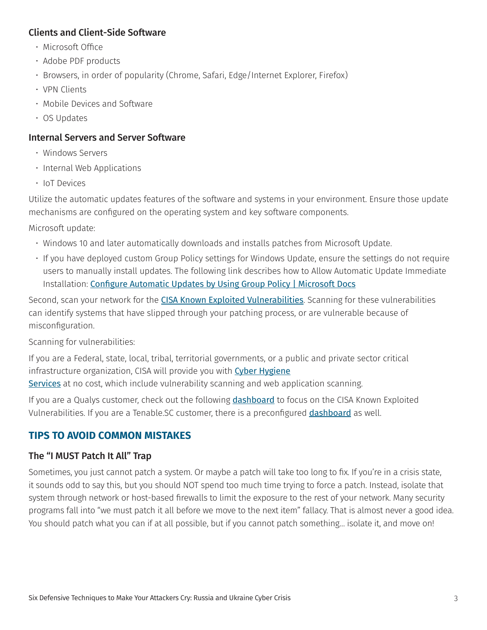#### Clients and Client-Side Software

- Microsoft Office
- Adobe PDF products
- Browsers, in order of popularity (Chrome, Safari, Edge/Internet Explorer, Firefox)
- VPN Clients
- Mobile Devices and Software
- OS Updates

#### Internal Servers and Server Software

- Windows Servers
- Internal Web Applications
- IoT Devices

Utilize the automatic updates features of the software and systems in your environment. Ensure those update mechanisms are configured on the operating system and key software components.

Microsoft update:

- Windows 10 and later automatically downloads and installs patches from Microsoft Update.
- If you have deployed custom Group Policy settings for Windows Update, ensure the settings do not require users to manually install updates. The following link describes how to Allow Automatic Update Immediate Installation: [Configure Automatic Updates by Using Group Policy | Microsoft Docs](https://docs.microsoft.com/de-de/security-updates/windowsupdateservices/18127451#:~:text=To%20allow%20Automatic%20Update%20immediate,Click%20OK)

Second, scan your network for the [CISA Known Exploited Vulnerabilities](https://www.cisa.gov/known-exploited-vulnerabilities-catalog). Scanning for these vulnerabilities can identify systems that have slipped through your patching process, or are vulnerable because of misconfiguration.

Scanning for vulnerabilities:

If you are a Federal, state, local, tribal, territorial governments, or a public and private sector critical infrastructure organization, CISA will provide you with [Cyber Hygiene](https://www.cisa.gov/cyber-hygiene-services) [Services](https://www.cisa.gov/cyber-hygiene-services) at no cost, which include vulnerability scanning and web application scanning.

If you are a Qualys customer, check out the following [dashboard](https://success.qualys.com/support/s/article/000006791) to focus on the CISA Known Exploited Vulnerabilities. If you are a Tenable.SC customer, there is a preconfigured [dashboard](https://www.tenable.com/sc-dashboards/dhs-cisa-binding-operational-directive-22-01) as well.

#### **TIPS TO AVOID COMMON MISTAKES**

#### The "I MUST Patch It All" Trap

Sometimes, you just cannot patch a system. Or maybe a patch will take too long to fix. If you're in a crisis state, it sounds odd to say this, but you should NOT spend too much time trying to force a patch. Instead, isolate that system through network or host-based firewalls to limit the exposure to the rest of your network. Many security programs fall into "we must patch it all before we move to the next item" fallacy. That is almost never a good idea. You should patch what you can if at all possible, but if you cannot patch something… isolate it, and move on!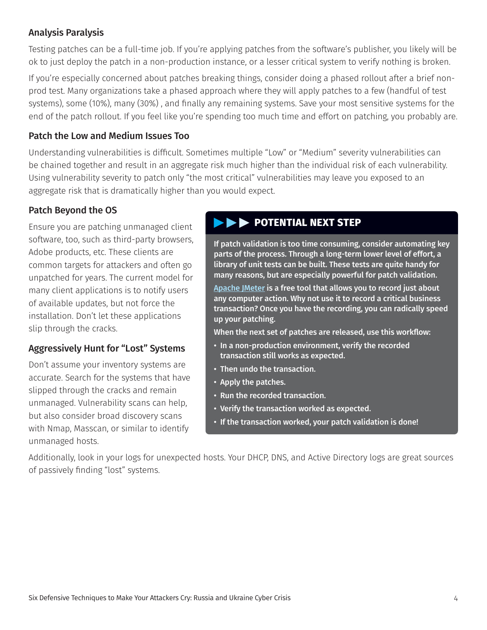#### Analysis Paralysis

Testing patches can be a full-time job. If you're applying patches from the software's publisher, you likely will be ok to just deploy the patch in a non-production instance, or a lesser critical system to verify nothing is broken.

If you're especially concerned about patches breaking things, consider doing a phased rollout after a brief nonprod test. Many organizations take a phased approach where they will apply patches to a few (handful of test systems), some (10%), many (30%) , and finally any remaining systems. Save your most sensitive systems for the end of the patch rollout. If you feel like you're spending too much time and effort on patching, you probably are.

#### Patch the Low and Medium Issues Too

Understanding vulnerabilities is difficult. Sometimes multiple "Low" or "Medium" severity vulnerabilities can be chained together and result in an aggregate risk much higher than the individual risk of each vulnerability. Using vulnerability severity to patch only "the most critical" vulnerabilities may leave you exposed to an aggregate risk that is dramatically higher than you would expect.

#### Patch Beyond the OS

Ensure you are patching unmanaged client software, too, such as third-party browsers, Adobe products, etc. These clients are common targets for attackers and often go unpatched for years. The current model for many client applications is to notify users of available updates, but not force the installation. Don't let these applications slip through the cracks.

#### Aggressively Hunt for "Lost" Systems

Don't assume your inventory systems are accurate. Search for the systems that have slipped through the cracks and remain unmanaged. Vulnerability scans can help, but also consider broad discovery scans with Nmap, Masscan, or similar to identify unmanaged hosts.

#### **EXAMPLE POTENTIAL NEXT STEP**

If patch validation is too time consuming, consider automating key parts of the process. Through a long-term lower level of effort, a library of unit tests can be built. These tests are quite handy for many reasons, but are especially powerful for patch validation.

[Apache JMeter](https://jmeter.apache.org/) is a free tool that allows you to record just about any computer action. Why not use it to record a critical business transaction? Once you have the recording, you can radically speed up your patching.

When the next set of patches are released, use this workflow:

- In a non-production environment, verify the recorded transaction still works as expected.
- Then undo the transaction.
- Apply the patches.
- Run the recorded transaction.
- Verify the transaction worked as expected.
- If the transaction worked, your patch validation is done!

Additionally, look in your logs for unexpected hosts. Your DHCP, DNS, and Active Directory logs are great sources of passively finding "lost" systems.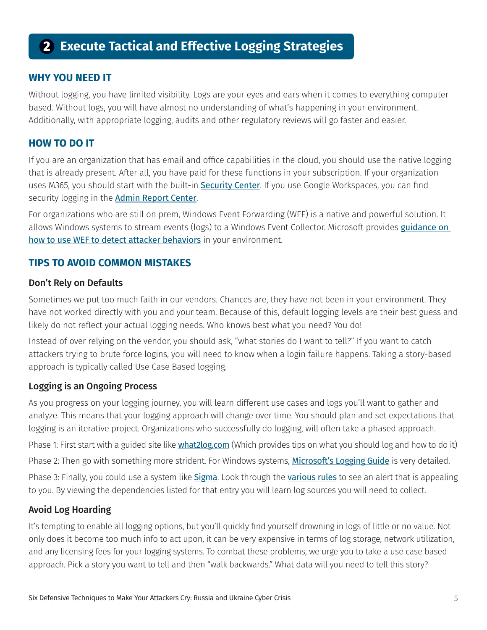## **2 Execute Tactical and Effective Logging Strategies**

#### **WHY YOU NEED IT**

Without logging, you have limited visibility. Logs are your eyes and ears when it comes to everything computer based. Without logs, you will have almost no understanding of what's happening in your environment. Additionally, with appropriate logging, audits and other regulatory reviews will go faster and easier.

#### **HOW TO DO IT**

If you are an organization that has email and office capabilities in the cloud, you should use the native logging that is already present. After all, you have paid for these functions in your subscription. If your organization uses M365, you should start with the built-in [Security Center](https://protection.office.com/). If you use Google Workspaces, you can find security logging in the [Admin Report Center](https://support.google.com/a/answer/6000269).

For organizations who are still on prem, Windows Event Forwarding (WEF) is a native and powerful solution. It allows Windows systems to stream events (logs) to a Windows Event Collector. Microsoft provides *guidance on* [how to use WEF to detect attacker behaviors](https://docs.microsoft.com/en-us/windows/security/threat-protection/use-windows-event-forwarding-to-assist-in-intrusion-detection) in your environment.

#### **TIPS TO AVOID COMMON MISTAKES**

#### Don't Rely on Defaults

Sometimes we put too much faith in our vendors. Chances are, they have not been in your environment. They have not worked directly with you and your team. Because of this, default logging levels are their best guess and likely do not reflect your actual logging needs. Who knows best what you need? You do!

Instead of over relying on the vendor, you should ask, "what stories do I want to tell?" If you want to catch attackers trying to brute force logins, you will need to know when a login failure happens. Taking a story-based approach is typically called Use Case Based logging.

#### Logging is an Ongoing Process

As you progress on your logging journey, you will learn different use cases and logs you'll want to gather and analyze. This means that your logging approach will change over time. You should plan and set expectations that logging is an iterative project. Organizations who successfully do logging, will often take a phased approach.

Phase 1: First start with a guided site like [what2log.com](https://what2log.com/) (Which provides tips on what you should log and how to do it)

Phase 2: Then go with something more strident. For Windows systems, [Microsoft's Logging Guide](https://docs.microsoft.com/en-us/windows-server/identity/ad-ds/plan/appendix-l--events-to-monitor) is very detailed.

Phase 3: Finally, you could use a system like [Sigma](https://github.com/SigmaHQ/sigma). Look through the [various rules](https://github.com/SigmaHQ/sigma/tree/master/rules) to see an alert that is appealing to you. By viewing the dependencies listed for that entry you will learn log sources you will need to collect.

#### Avoid Log Hoarding

It's tempting to enable all logging options, but you'll quickly find yourself drowning in logs of little or no value. Not only does it become too much info to act upon, it can be very expensive in terms of log storage, network utilization, and any licensing fees for your logging systems. To combat these problems, we urge you to take a use case based approach. Pick a story you want to tell and then "walk backwards." What data will you need to tell this story?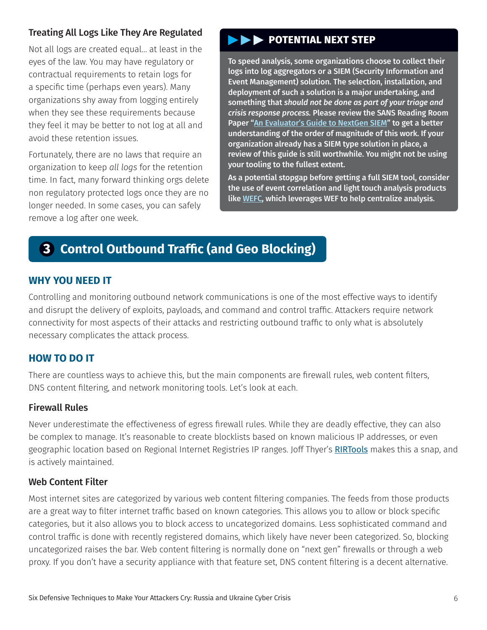#### Treating All Logs Like They Are Regulated

Not all logs are created equal… at least in the eyes of the law. You may have regulatory or contractual requirements to retain logs for a specific time (perhaps even years). Many organizations shy away from logging entirely when they see these requirements because they feel it may be better to not log at all and avoid these retention issues.

Fortunately, there are no laws that require an organization to keep *all logs* for the retention time. In fact, many forward thinking orgs delete non regulatory protected logs once they are no longer needed. In some cases, you can safely remove a log after one week.

#### **POTENTIAL NEXT STEP**

To speed analysis, some organizations choose to collect their logs into log aggregators or a SIEM (Security Information and Event Management) solution. The selection, installation, and deployment of such a solution is a major undertaking, and something that *should not be done as part of your triage and crisis response process.* Please review the SANS Reading Room Paper ["An Evaluator's Guide to NextGen SIEM"](https://www.sans.org/media/vendor/evaluator-039-s-guide-nextgen-siem-38720.pdf) to get a better understanding of the order of magnitude of this work. If your organization already has a SIEM type solution in place, a review of this guide is still worthwhile. You might not be using your tooling to the fullest extent.

As a potential stopgap before getting a full SIEM tool, consider the use of event correlation and light touch analysis products like [WEFC](https://github.com/BrandonsProjects/WEFC), which leverages WEF to help centralize analysis.

## **3 Control Outbound Traffic (and Geo Blocking)**

#### **WHY YOU NEED IT**

Controlling and monitoring outbound network communications is one of the most effective ways to identify and disrupt the delivery of exploits, payloads, and command and control traffic. Attackers require network connectivity for most aspects of their attacks and restricting outbound traffic to only what is absolutely necessary complicates the attack process.

#### **HOW TO DO IT**

There are countless ways to achieve this, but the main components are firewall rules, web content filters, DNS content filtering, and network monitoring tools. Let's look at each.

#### Firewall Rules

Never underestimate the effectiveness of egress firewall rules. While they are deadly effective, they can also be complex to manage. It's reasonable to create blocklists based on known malicious IP addresses, or even geographic location based on Regional Internet Registries IP ranges. Joff Thyer's [RIRTools](https://github.com/yoda66/RIRTools) makes this a snap, and is actively maintained.

#### Web Content Filter

Most internet sites are categorized by various web content filtering companies. The feeds from those products are a great way to filter internet traffic based on known categories. This allows you to allow or block specific categories, but it also allows you to block access to uncategorized domains. Less sophisticated command and control traffic is done with recently registered domains, which likely have never been categorized. So, blocking uncategorized raises the bar. Web content filtering is normally done on "next gen" firewalls or through a web proxy. If you don't have a security appliance with that feature set, DNS content filtering is a decent alternative.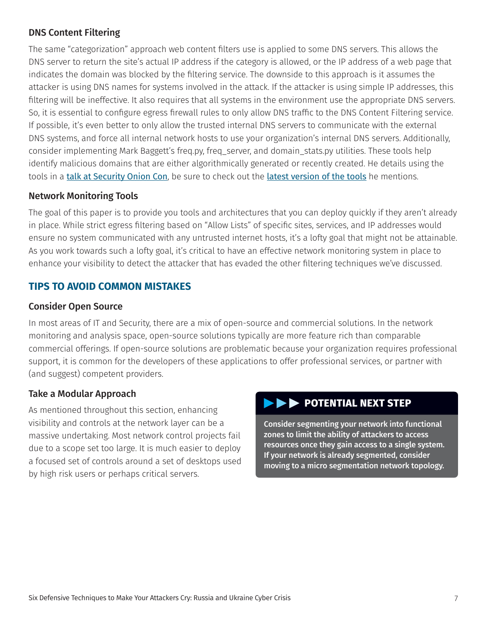#### DNS Content Filtering

The same "categorization" approach web content filters use is applied to some DNS servers. This allows the DNS server to return the site's actual IP address if the category is allowed, or the IP address of a web page that indicates the domain was blocked by the filtering service. The downside to this approach is it assumes the attacker is using DNS names for systems involved in the attack. If the attacker is using simple IP addresses, this filtering will be ineffective. It also requires that all systems in the environment use the appropriate DNS servers. So, it is essential to configure egress firewall rules to only allow DNS traffic to the DNS Content Filtering service. If possible, it's even better to only allow the trusted internal DNS servers to communicate with the external DNS systems, and force all internal network hosts to use your organization's internal DNS servers. Additionally, consider implementing Mark Baggett's freq.py, freq\_server, and domain\_stats.py utilities. These tools help identify malicious domains that are either algorithmically generated or recently created. He details using the tools in a [talk at Security Onion Con](https://www.youtube.com/watch?v=dfrh1FaFUic), be sure to check out the [latest version of the tools](https://github.com/MarkBaggett/freq) he mentions.

#### Network Monitoring Tools

The goal of this paper is to provide you tools and architectures that you can deploy quickly if they aren't already in place. While strict egress filtering based on "Allow Lists" of specific sites, services, and IP addresses would ensure no system communicated with any untrusted internet hosts, it's a lofty goal that might not be attainable. As you work towards such a lofty goal, it's critical to have an effective network monitoring system in place to enhance your visibility to detect the attacker that has evaded the other filtering techniques we've discussed.

#### **TIPS TO AVOID COMMON MISTAKES**

#### Consider Open Source

In most areas of IT and Security, there are a mix of open-source and commercial solutions. In the network monitoring and analysis space, open-source solutions typically are more feature rich than comparable commercial offerings. If open-source solutions are problematic because your organization requires professional support, it is common for the developers of these applications to offer professional services, or partner with (and suggest) competent providers.

#### Take a Modular Approach

As mentioned throughout this section, enhancing visibility and controls at the network layer can be a massive undertaking. Most network control projects fail due to a scope set too large. It is much easier to deploy a focused set of controls around a set of desktops used by high risk users or perhaps critical servers.

## **EXT STEP POTENTIAL NEXT STEP**

Consider segmenting your network into functional zones to limit the ability of attackers to access resources once they gain access to a single system. If your network is already segmented, consider moving to a micro segmentation network topology.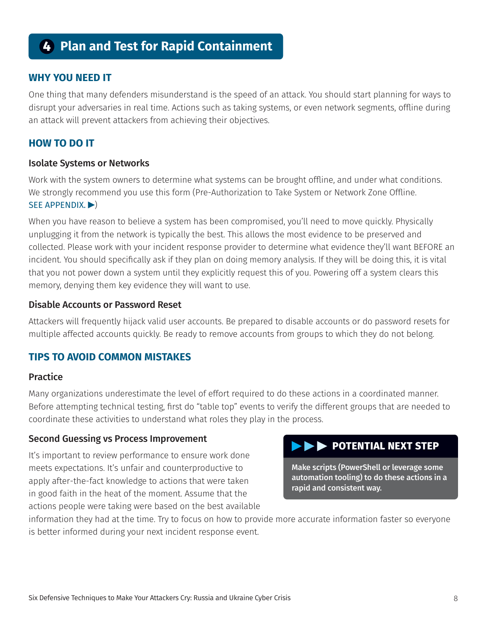## **4 Plan and Test for Rapid Containment**

#### **WHY YOU NEED IT**

One thing that many defenders misunderstand is the speed of an attack. You should start planning for ways to disrupt your adversaries in real time. Actions such as taking systems, or even network segments, offline during an attack will prevent attackers from achieving their objectives.

#### **HOW TO DO IT**

#### Isolate Systems or Networks

Work with the system owners to determine what systems can be brought offline, and under what conditions. We strongly recommend you use this form (Pre-Authorization to Take System or Network Zone Offline. [SEE APPENDIX.](#page-11-0) $\blacktriangleright$ )

When you have reason to believe a system has been compromised, you'll need to move quickly. Physically unplugging it from the network is typically the best. This allows the most evidence to be preserved and collected. Please work with your incident response provider to determine what evidence they'll want BEFORE an incident. You should specifically ask if they plan on doing memory analysis. If they will be doing this, it is vital that you not power down a system until they explicitly request this of you. Powering off a system clears this memory, denying them key evidence they will want to use.

#### Disable Accounts or Password Reset

Attackers will frequently hijack valid user accounts. Be prepared to disable accounts or do password resets for multiple affected accounts quickly. Be ready to remove accounts from groups to which they do not belong.

#### **TIPS TO AVOID COMMON MISTAKES**

#### **Practice**

Many organizations underestimate the level of effort required to do these actions in a coordinated manner. Before attempting technical testing, first do "table top" events to verify the different groups that are needed to coordinate these activities to understand what roles they play in the process.

#### Second Guessing vs Process Improvement

It's important to review performance to ensure work done meets expectations. It's unfair and counterproductive to apply after-the-fact knowledge to actions that were taken in good faith in the heat of the moment. Assume that the actions people were taking were based on the best available

#### **POTENTIAL NEXT STEP**

Make scripts (PowerShell or leverage some automation tooling) to do these actions in a rapid and consistent way.

information they had at the time. Try to focus on how to provide more accurate information faster so everyone is better informed during your next incident response event.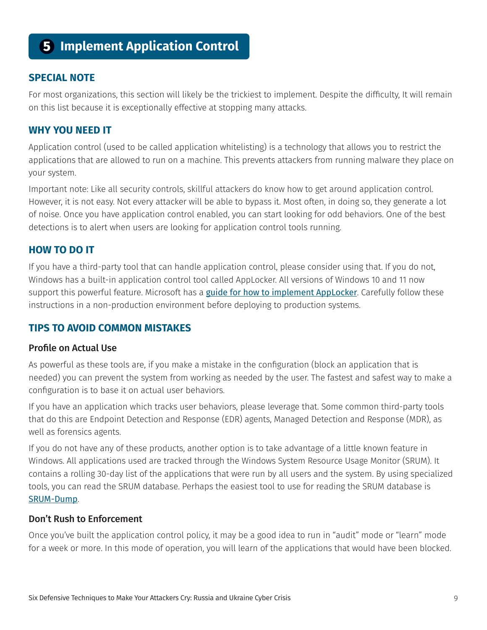## **5 Implement Application Control**

#### **SPECIAL NOTE**

For most organizations, this section will likely be the trickiest to implement. Despite the difficulty, It will remain on this list because it is exceptionally effective at stopping many attacks.

#### **WHY YOU NEED IT**

Application control (used to be called application whitelisting) is a technology that allows you to restrict the applications that are allowed to run on a machine. This prevents attackers from running malware they place on your system.

Important note: Like all security controls, skillful attackers do know how to get around application control. However, it is not easy. Not every attacker will be able to bypass it. Most often, in doing so, they generate a lot of noise. Once you have application control enabled, you can start looking for odd behaviors. One of the best detections is to alert when users are looking for application control tools running.

#### **HOW TO DO IT**

If you have a third-party tool that can handle application control, please consider using that. If you do not, Windows has a built-in application control tool called AppLocker. All versions of Windows 10 and 11 now support this powerful feature. Microsoft has a *[guide for how to implement AppLocker](https://docs.microsoft.com/en-us/windows/security/threat-protection/windows-defender-application-control/applocker/applocker-policies-deployment-guide)*. Carefully follow these instructions in a non-production environment before deploying to production systems.

#### **TIPS TO AVOID COMMON MISTAKES**

#### Profile on Actual Use

As powerful as these tools are, if you make a mistake in the configuration (block an application that is needed) you can prevent the system from working as needed by the user. The fastest and safest way to make a configuration is to base it on actual user behaviors.

If you have an application which tracks user behaviors, please leverage that. Some common third-party tools that do this are Endpoint Detection and Response (EDR) agents, Managed Detection and Response (MDR), as well as forensics agents.

If you do not have any of these products, another option is to take advantage of a little known feature in Windows. All applications used are tracked through the Windows System Resource Usage Monitor (SRUM). It contains a rolling 30-day list of the applications that were run by all users and the system. By using specialized tools, you can read the SRUM database. Perhaps the easiest tool to use for reading the SRUM database is [SRUM-Dump](https://github.com/markbaggett/srum-dump).

#### Don't Rush to Enforcement

Once you've built the application control policy, it may be a good idea to run in "audit" mode or "learn" mode for a week or more. In this mode of operation, you will learn of the applications that would have been blocked.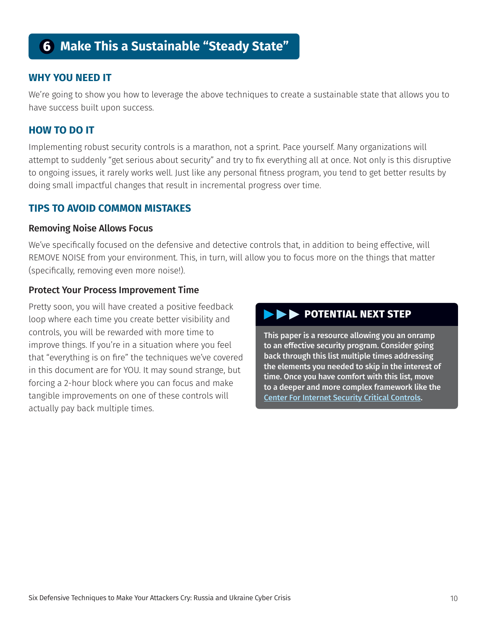## **6 Make This a Sustainable "Steady State"**

#### **WHY YOU NEED IT**

We're going to show you how to leverage the above techniques to create a sustainable state that allows you to have success built upon success.

#### **HOW TO DO IT**

Implementing robust security controls is a marathon, not a sprint. Pace yourself. Many organizations will attempt to suddenly "get serious about security" and try to fix everything all at once. Not only is this disruptive to ongoing issues, it rarely works well. Just like any personal fitness program, you tend to get better results by doing small impactful changes that result in incremental progress over time.

#### **TIPS TO AVOID COMMON MISTAKES**

#### Removing Noise Allows Focus

We've specifically focused on the defensive and detective controls that, in addition to being effective, will REMOVE NOISE from your environment. This, in turn, will allow you to focus more on the things that matter (specifically, removing even more noise!).

#### Protect Your Process Improvement Time

Pretty soon, you will have created a positive feedback loop where each time you create better visibility and controls, you will be rewarded with more time to improve things. If you're in a situation where you feel that "everything is on fire" the techniques we've covered in this document are for YOU. It may sound strange, but forcing a 2-hour block where you can focus and make tangible improvements on one of these controls will actually pay back multiple times.

#### **EXECUTE POTENTIAL NEXT STEP**

This paper is a resource allowing you an onramp to an effective security program. Consider going back through this list multiple times addressing the elements you needed to skip in the interest of time. Once you have comfort with this list, move to a deeper and more complex framework like the [Center For Internet Security Critical Controls](https://www.cisecurity.org/controls).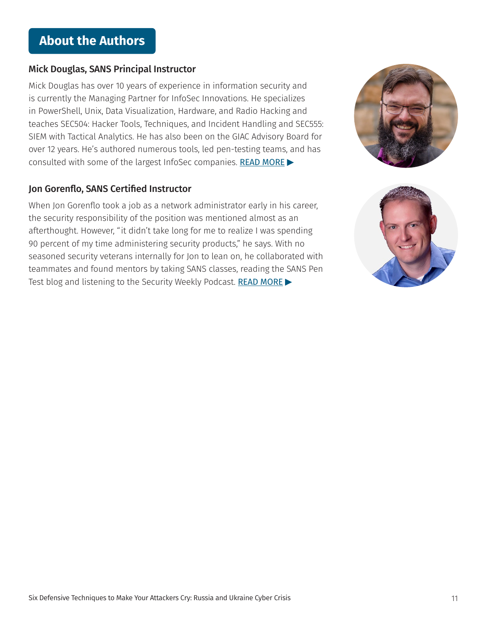## **About the Authors**

#### Mick Douglas, SANS Principal Instructor

Mick Douglas has over 10 years of experience in information security and is currently the Managing Partner for InfoSec Innovations. He specializes in PowerShell, Unix, Data Visualization, Hardware, and Radio Hacking and teaches SEC504: Hacker Tools, Techniques, and Incident Handling and SEC555: SIEM with Tactical Analytics. He has also been on the GIAC Advisory Board for over 12 years. He's authored numerous tools, led pen-testing teams, and has consulted with some of the largest InfoSec companies. [READ MORE](https://www.sans.org/profiles/mick-douglas/)

#### Jon Gorenflo, SANS Certified Instructor

When Jon Gorenflo took a job as a network administrator early in his career, the security responsibility of the position was mentioned almost as an afterthought. However, "it didn't take long for me to realize I was spending 90 percent of my time administering security products," he says. With no seasoned security veterans internally for Jon to lean on, he collaborated with teammates and found mentors by taking SANS classes, reading the SANS Pen Test blog and listening to the Security Weekly Podcast. [READ MORE](https://www.sans.org/profiles/jon-gorenflo/)